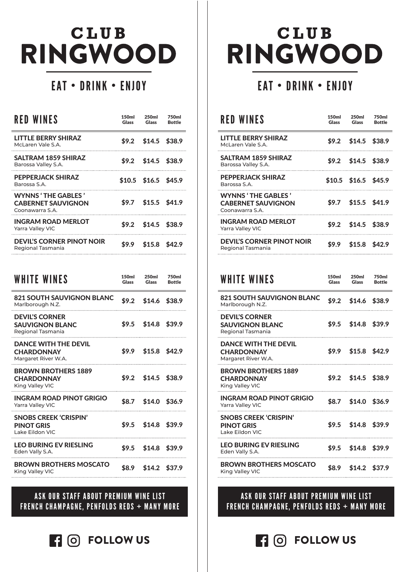# **CLUB** RINGWOOD

## EAT • DRINK • ENJOY

| <b>RED WINES</b>                                                          | 150ml<br>Glass | 250ml<br>Glass        | 750ml<br><b>Bottle</b> |
|---------------------------------------------------------------------------|----------------|-----------------------|------------------------|
| LITTLE BERRY SHIRAZ<br>McLaren Vale S.A.                                  | \$9.2          | \$14.5                | \$38.9                 |
| SALTRAM 1859 SHIRAZ<br>Barossa Valley S.A.                                | \$9.2          | \$14.5                | \$38.9                 |
| <b>PEPPERJACK SHIRAZ</b><br>Barossa S.A.                                  |                | $$10.5$ \$16.5 \$45.9 |                        |
| <b>WYNNS 'THE GABLES'</b><br><b>CABERNET SAUVIGNON</b><br>Coonawarra S.A. | \$9.7          | $$15.5$ \$41.9        |                        |
| INGRAM ROAD MERLOT<br><b>Yarra Valley VIC</b>                             | \$9.2          | $$14.5$ \$38.9        |                        |
| <b>DEVIL'S CORNER PINOT NOIR</b><br>Regional Tasmania                     | \$9.9          | $$15.8$ \$42.9        |                        |
|                                                                           |                |                       |                        |
| <b>WHITE WINES</b>                                                        | 150ml<br>Glass | 250ml<br><b>Glass</b> | 750ml<br><b>Bottle</b> |
| <b>821 SOUTH SAUVIGNON BLANC</b><br>Marlborough N.Z.                      | \$9.2          | $$14.6$ \$38.9        |                        |
| <b>DEVIL'S CORNER</b><br><b>SAUVIGNON BLANC</b><br>Regional Tasmania      | \$9.5          | $$14.8$ \$39.9        |                        |
| <b>DANCE WITH THE DEVIL</b><br><b>CHARDONNAY</b><br>Margaret River W.A.   | \$9.9          | $$15.8$ \$42.9        |                        |
| <b>BROWN BROTHERS 1889</b><br><b>CHARDONNAY</b><br>King Valley VIC        |                | $$9.2$ \$14.5 \$38.9  |                        |
| INGRAM ROAD PINOT GRIGIO<br>Yarra Valley VIC                              | \$8.7          | $$14.0$ \$36.9        |                        |
| SNOBS CREEK 'CRISPIN'<br><b>PINOT GRIS</b><br>Lake Eildon VIC             | \$9.5          | $$14.8$ \$39.9        |                        |
| <b>LEO BURING EV RIESLING</b><br>Eden Vally S.A.                          | \$9.5          | $$14.8$ \$39.9        |                        |
| <b>BROWN BROTHERS MOSCATO</b><br>King Valley VIC                          | \$8.9          | $$14.2$ \$37.9        |                        |

#### ASK OUR STAFF ABOUT PREMIUM WINE LIST FRENCH CHAMPAGNE, PENFOLDS REDS + MANY MORE

**FOLLOW US**